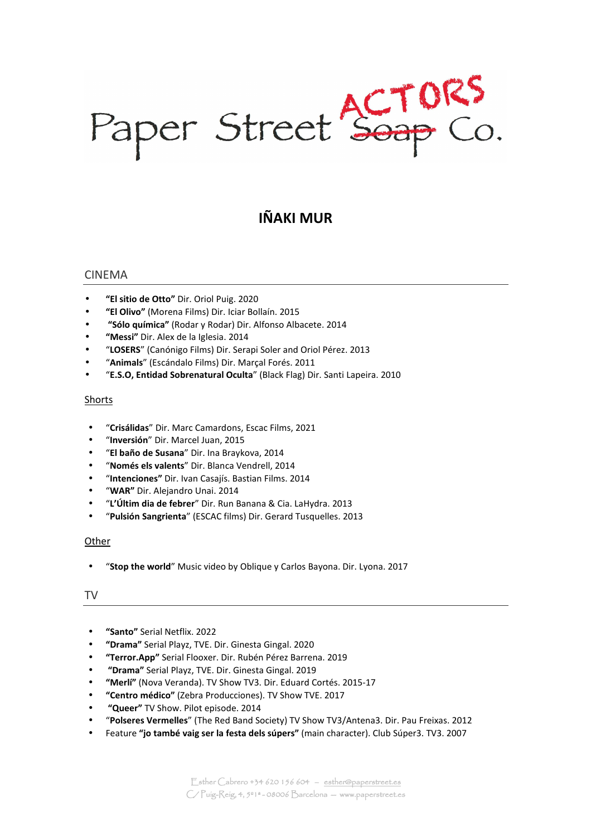Paper Street Soap Co.

# **IÑAKI MUR**

## CINEMA

- **"El sitio de Otto"** Dir. Oriol Puig. 2020
- **"El Olivo"** (Morena Films) Dir. Iciar Bollaín. 2015
- • **"Sólo química"** (Rodar y Rodar) Dir. Alfonso Albacete. 2014
- **"Messi"** Dir. Alex de la Iglesia. 2014
- "**LOSERS**" (Canónigo Films) Dir. Serapi Soler and Oriol Pérez. 2013
- "**Animals**" (Escándalo Films) Dir. Marçal Forés. 2011
- "**E.S.O, Entidad Sobrenatural Oculta**" (Black Flag) Dir. Santi Lapeira. 2010

## Shorts

- "**Crisálidas**" Dir. Marc Camardons, Escac Films, 2021
- "**Inversión**" Dir. Marcel Juan, 2015
- "**El baño de Susana**" Dir. Ina Braykova, 2014
- "**Només els valents**" Dir. Blanca Vendrell, 2014
- "**Intenciones"** Dir. Ivan Casajís. Bastian Films. 2014
- "**WAR"** Dir. Alejandro Unai. 2014
- "**L'Últim dia de febrer**" Dir. Run Banana & Cia. LaHydra. 2013
- "**Pulsión Sangrienta**" (ESCAC films) Dir. Gerard Tusquelles. 2013

#### **Other**

• "**Stop the world**" Music video by Oblique y Carlos Bayona. Dir. Lyona. 2017

TV

- **"Santo"** Serial Netflix. 2022
- **"Drama"** Serial Playz, TVE. Dir. Ginesta Gingal. 2020
- **"Terror.App"** Serial Flooxer. Dir. Rubén Pérez Barrena. 2019
- • **"Drama"** Serial Playz, TVE. Dir. Ginesta Gingal. 2019
- **"Merlí"** (Nova Veranda). TV Show TV3. Dir. Eduard Cortés. 2015-17
- **"Centro médico"** (Zebra Producciones). TV Show TVE. 2017
- • **"Queer"** TV Show. Pilot episode. 2014
- "**Polseres Vermelles**" (The Red Band Society) TV Show TV3/Antena3. Dir. Pau Freixas. 2012
- Feature **"jo també vaig ser la festa dels súpers"** (main character). Club Súper3. TV3. 2007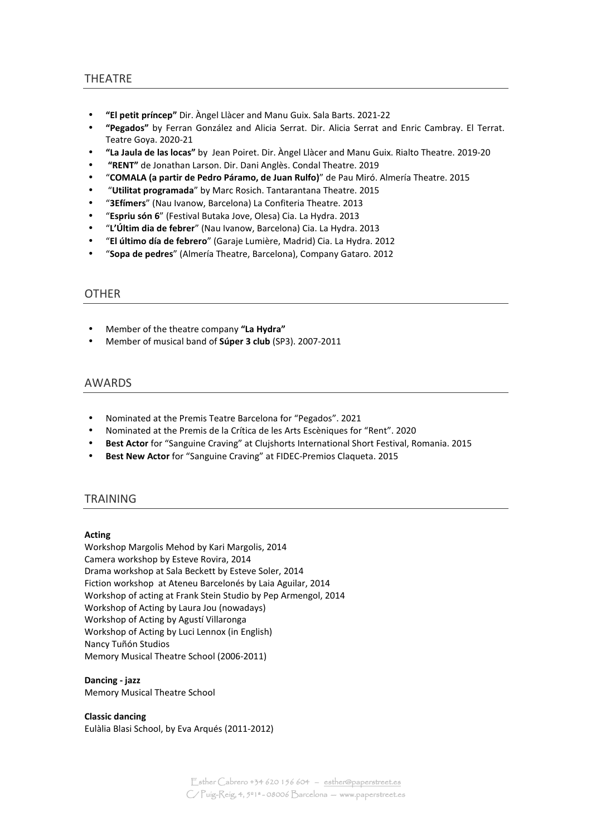## THEATRE

- **"El petit príncep"** Dir. Àngel Llàcer and Manu Guix. Sala Barts. 2021-22
- **"Pegados"** by Ferran González and Alicia Serrat. Dir. Alicia Serrat and Enric Cambray. El Terrat. Teatre Goya. 2020-21
- **"La Jaula de las locas"** by Jean Poiret. Dir. Àngel Llàcer and Manu Guix. Rialto Theatre. 2019-20
- • **"RENT"** de Jonathan Larson. Dir. Dani Anglès. Condal Theatre. 2019
- "**COMALA (a partir de Pedro Páramo, de Juan Rulfo)**" de Pau Miró. Almería Theatre. 2015
- "**Utilitat programada**" by Marc Rosich. Tantarantana Theatre. 2015
- "**3Efímers**" (Nau Ivanow, Barcelona) La Confiteria Theatre. 2013
- "**Espriu són 6**" (Festival Butaka Jove, Olesa) Cia. La Hydra. 2013
- "**L'Últim dia de febrer**" (Nau Ivanow, Barcelona) Cia. La Hydra. 2013
- "**El último día de febrero**" (Garaje Lumière, Madrid) Cia. La Hydra. 2012
- "**Sopa de pedres**" (Almería Theatre, Barcelona), Company Gataro. 2012

## **OTHER**

- Member of the theatre company **"La Hydra"**
- Member of musical band of **Súper 3 club** (SP3). 2007-2011

## AWARDS

- Nominated at the Premis Teatre Barcelona for "Pegados". 2021
- Nominated at the Premis de la Crítica de les Arts Escèniques for "Rent". 2020
- **Best Actor** for "Sanguine Craving" at Clujshorts International Short Festival, Romania. 2015
- **Best New Actor** for "Sanguine Craving" at FIDEC-Premios Claqueta. 2015

## TRAINING

#### **Acting**

Workshop Margolis Mehod by Kari Margolis, 2014 Camera workshop by Esteve Rovira, 2014 Drama workshop at Sala Beckett by Esteve Soler, 2014 Fiction workshop at Ateneu Barcelonés by Laia Aguilar, 2014 Workshop of acting at Frank Stein Studio by Pep Armengol, 2014 Workshop of Acting by Laura Jou (nowadays) Workshop of Acting by Agustí Villaronga Workshop of Acting by Luci Lennox (in English) Nancy Tuñón Studios Memory Musical Theatre School (2006-2011)

#### **Dancing - jazz**  Memory Musical Theatre School

**Classic dancing** 

Eulàlia Blasi School, by Eva Arqués (2011-2012)